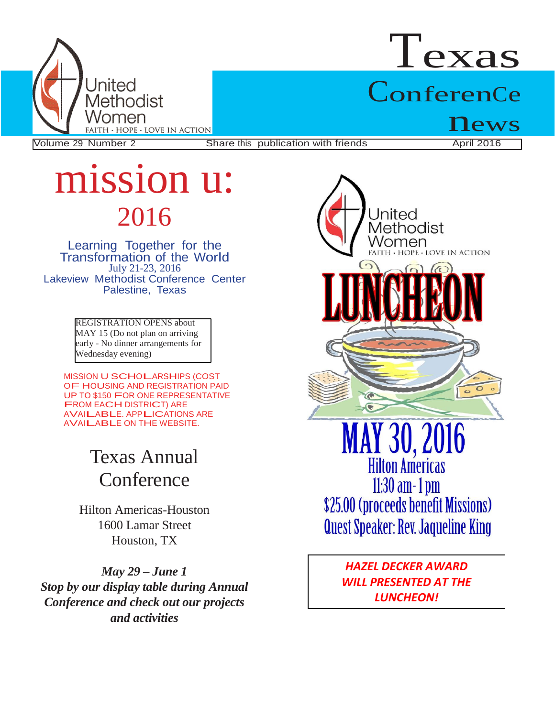

# Texas ConferenCe

Volume 29 Number 2 Share this publication with friends

 $\mathbf{news} \ \mathbf{A}_{\text{pril 2016}}$ 

## mission u: 2016

Learning Together for the Transformation of the World July 21-23, 2016 Lakeview Methodist Conference Center Palestine, Texas

> REGISTRATION OPENS about MAY 15 (Do not plan on arriving early - No dinner arrangements for Wednesday evening)

MISSION U SCHOLARSHIPS (COST OF HOUSING AND REGISTRATION PAID UP TO \$150 FOR ONE REPRESENTATIVE FROM EACH DISTRICT) ARE AVAILABLE. APPLICATIONS ARE AVAILABLE ON THE WEBSITE.

## Texas Annual **Conference**

Hilton Americas-Houston 1600 Lamar Street Houston, TX

*May 29 – June 1 Stop by our display table during Annual Conference and check out our projects and activities*



*WILL PRESENTED AT THE LUNCHEON!*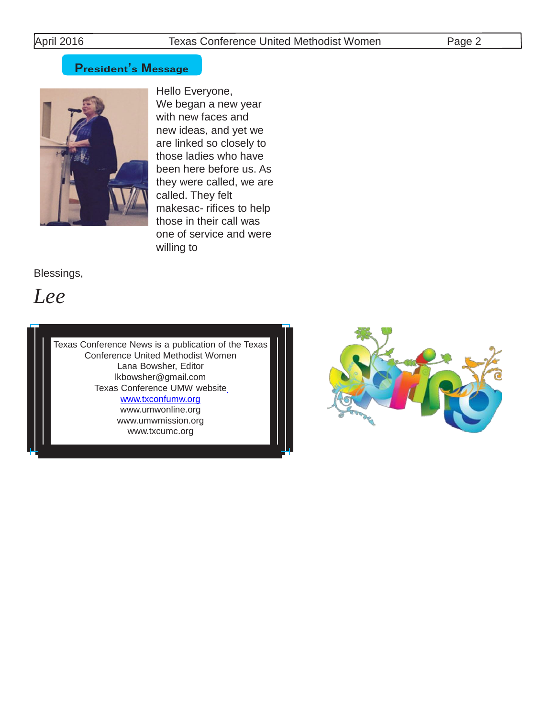### **President's Message**



Hello Everyone, We began a new year with new faces and new ideas, and yet we are linked so closely to those ladies who have been here before us. As they were called, we are called. They felt makesac- rifices to help those in their call was one of service and were willing to

Blessings,

*Lee*

Texas Conference News is a publication of the Texas Conference United Methodist Women Lana Bowsher, Edito[r](mailto:lkbowsher@gmail.com) [lkbowsher@gmail.com](mailto:lkbowsher@gmail.com) Texas Conference UMW website www.txconfumw.org [www.umwonline.org](http://www.umwonline.org/)

[www.umwmission.org](http://www.umwmission.org/) [www.txcumc.org](http://www.txcumc.org/)

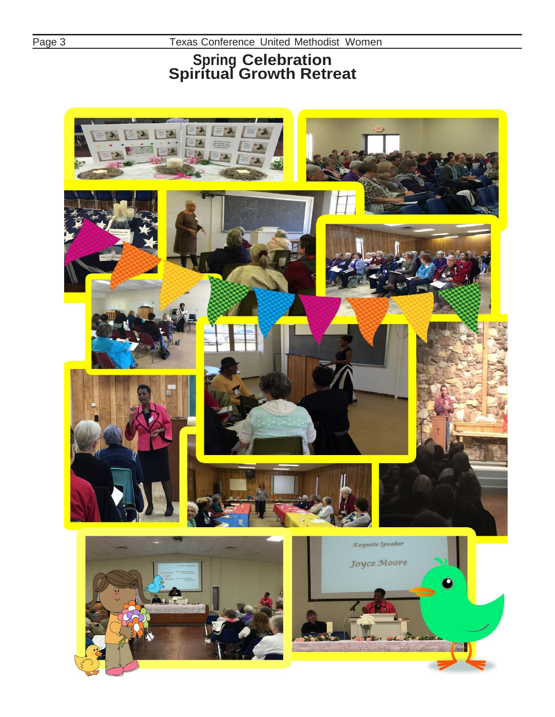Page 3

Texas Conference United Methodist Women

### **Spring Celebration Spiritual Growth Retreat**